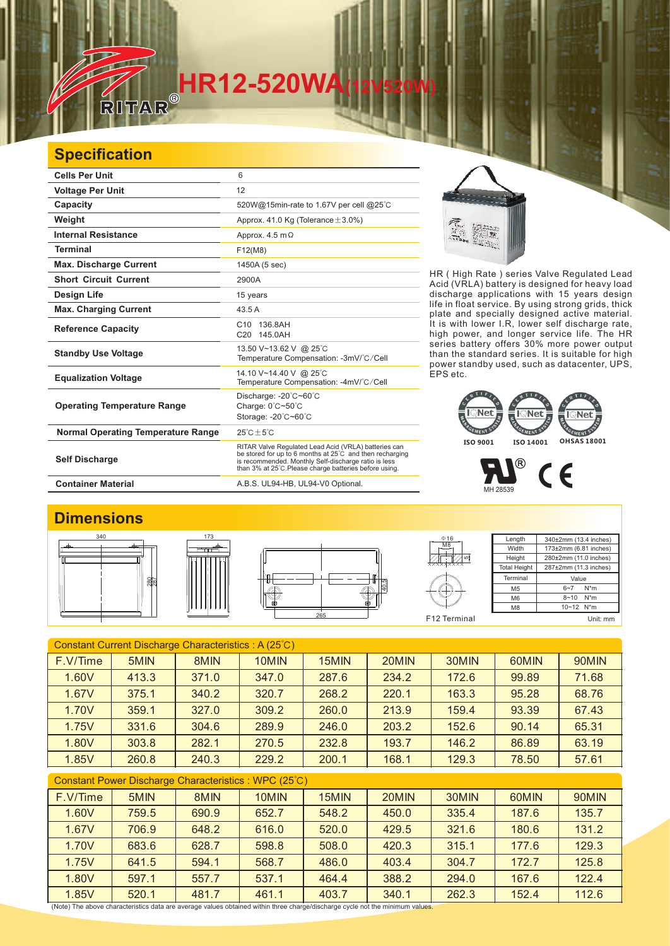# **HR12-520WA**<br>RITAR®

### **Specification**

| <b>Cells Per Unit</b>                     | 6                                                                                                                                                                                                                                  |
|-------------------------------------------|------------------------------------------------------------------------------------------------------------------------------------------------------------------------------------------------------------------------------------|
| <b>Voltage Per Unit</b>                   | 12                                                                                                                                                                                                                                 |
| Capacity                                  | 520W@15min-rate to 1.67V per cell @25°C                                                                                                                                                                                            |
| Weight                                    | Approx. 41.0 Kg (Tolerance $\pm$ 3.0%)                                                                                                                                                                                             |
| <b>Internal Resistance</b>                | Approx. $4.5 \text{ m}\Omega$                                                                                                                                                                                                      |
| <b>Terminal</b>                           | F12(M8)                                                                                                                                                                                                                            |
| <b>Max. Discharge Current</b>             | 1450A (5 sec)                                                                                                                                                                                                                      |
| <b>Short Circuit Current</b>              | 2900A                                                                                                                                                                                                                              |
| Design Life                               | 15 years                                                                                                                                                                                                                           |
| <b>Max. Charging Current</b>              | 43.5 A                                                                                                                                                                                                                             |
| <b>Reference Capacity</b>                 | C <sub>10</sub><br>136.8AH<br>C20 145.0AH                                                                                                                                                                                          |
| <b>Standby Use Voltage</b>                | 13.50 V~13.62 V @ 25°C<br>Temperature Compensation: -3mV/°C/Cell                                                                                                                                                                   |
| <b>Equalization Voltage</b>               | 14.10 V~14.40 V @ 25°C<br>Temperature Compensation: -4mV/°C/Cell                                                                                                                                                                   |
| <b>Operating Temperature Range</b>        | Discharge: $-20^{\circ}$ C $-60^{\circ}$ C<br>Charge: 0°C~50°C<br>Storage: -20°C~60°C                                                                                                                                              |
| <b>Normal Operating Temperature Range</b> | $25^{\circ}$ C + $5^{\circ}$ C                                                                                                                                                                                                     |
| <b>Self Discharge</b>                     | RITAR Valve Regulated Lead Acid (VRLA) batteries can<br>be stored for up to 6 months at 25°C and then recharging<br>is recommended. Monthly Self-discharge ratio is less<br>than 3% at 25°C. Please charge batteries before using. |

**Container Material Container Material A.B.S. UL94-HB, UL94-V0 Optional.** 

ांश

HR ( High Rate ) series Valve Regulated Lead Acid (VRLA) battery is designed for heavy load discharge applications with 15 years design life in float service. By using strong grids, thick plate and specially designed active material. It is with lower I.R, lower self discharge rate, high power, and longer service life. The HR series battery offers 30% more power output than the standard series. It is suitable for high power standby used, such as datacenter, UPS, EPS etc.

## MENT FMENT **ISO 9001 ISO 14001 OHSAS 18001**

 $\circledR$  $C<sub>6</sub>$ MH 28539

#### **Dimensions**







5 M8  $016$ 

Length **Width Height** Total Heigh 340±2mm (13.4 inches) 173±2mm (6.81 inches) 280±2mm (11.0 inches) 287±2mm (11.3 inches) **Terminal** M5  $\overline{M6}$  $M8$ Value  $6 - 7$  N<sup>\*</sup>m  $8 - 10$  N<sup>\*</sup>m 10~12 N\*m F12 Terminal Unit: mm

| Constant Current Discharge Characteristics: A (25°C) |       |       |       |       |       |       |       |       |  |
|------------------------------------------------------|-------|-------|-------|-------|-------|-------|-------|-------|--|
| F.V/Time                                             | 5MIN  | 8MIN  | 10MIN | 15MIN | 20MIN | 30MIN | 60MIN | 90MIN |  |
| 1.60V                                                | 413.3 | 371.0 | 347.0 | 287.6 | 234.2 | 172.6 | 99.89 | 71.68 |  |
| 1.67V                                                | 375.1 | 340.2 | 320.7 | 268.2 | 220.1 | 163.3 | 95.28 | 68.76 |  |
| 1.70V                                                | 359.1 | 327.0 | 309.2 | 260.0 | 213.9 | 159.4 | 93.39 | 67.43 |  |
| 1.75V                                                | 331.6 | 304.6 | 289.9 | 246.0 | 203.2 | 152.6 | 90.14 | 65.31 |  |
| 1.80V                                                | 303.8 | 282.1 | 270.5 | 232.8 | 193.7 | 146.2 | 86.89 | 63.19 |  |
| 1.85V                                                | 260.8 | 240.3 | 229.2 | 200.1 | 168.1 | 129.3 | 78.50 | 57.61 |  |
| Constant Power Discharge Characteristics: WPC (25°C) |       |       |       |       |       |       |       |       |  |
| F.V/Time                                             | 5MIN  | 8MIN  | 10MIN | 15MIN | 20MIN | 30MIN | 60MIN | 90MIN |  |
| 1.60V                                                | 759.5 | 690.9 | 652.7 | 548.2 | 450.0 | 335.4 | 187.6 | 135.7 |  |

1.67V | 706.9 | 648.2 | 616.0 | 520.0 | 429.5 | 321.6 | 180.6 | 131.2 1.70V | 683.6 | 628.7 | 598.8 | 508.0 | 420.3 | 315.1 | 177.6 | 129.3 1.75V | 641.5 | 594.1 | 568.7 | 486.0 | 403.4 | 304.7 | 172.7 | 125.8 1.80V 597.1 557.7 537.1 464.4 388.2 294.0 167.6 122.4 1.85V | 520.1 | 481.7 | 461.1 | 403.7 | 340.1 | 262.3 | 152.4 | 1<mark>1</mark>2.6

(Note) The above characteristics data are average values obtained within three charge/discharge cycle not the minimum values.